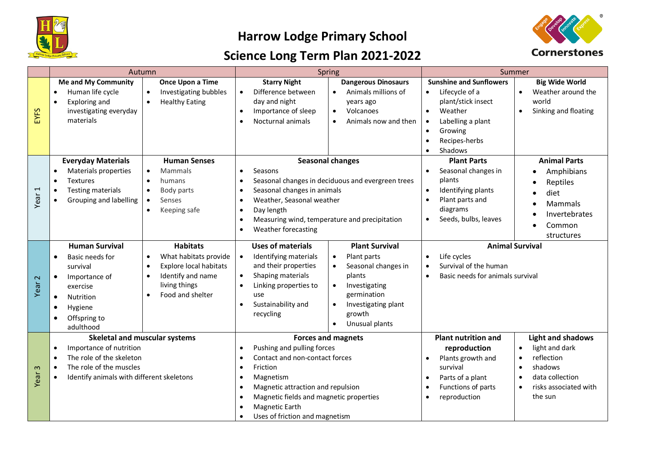

## **Harrow Lodge Primary School**

## **Science Long Term Plan 2021-2022**



|                   | Autumn                                                                                                                                                                                                                             |                                                                                                                                                                                  | Spring                                                                                                                                                                                                                                                                                                                                                         |                                                                                                                                                                                                               | Summer                                                                                                                                                                                                                                                                                          |                                                                                                                                                                                             |
|-------------------|------------------------------------------------------------------------------------------------------------------------------------------------------------------------------------------------------------------------------------|----------------------------------------------------------------------------------------------------------------------------------------------------------------------------------|----------------------------------------------------------------------------------------------------------------------------------------------------------------------------------------------------------------------------------------------------------------------------------------------------------------------------------------------------------------|---------------------------------------------------------------------------------------------------------------------------------------------------------------------------------------------------------------|-------------------------------------------------------------------------------------------------------------------------------------------------------------------------------------------------------------------------------------------------------------------------------------------------|---------------------------------------------------------------------------------------------------------------------------------------------------------------------------------------------|
| EYFS              | <b>Me and My Community</b><br>Human life cycle<br>$\bullet$<br>Exploring and<br>$\bullet$<br>investigating everyday<br>materials<br><b>Everyday Materials</b><br>Materials properties<br>$\bullet$<br><b>Textures</b><br>$\bullet$ | Once Upon a Time<br>Investigating bubbles<br>$\bullet$<br><b>Healthy Eating</b><br>$\bullet$<br><b>Human Senses</b><br>Mammals<br>$\bullet$<br>humans<br>$\bullet$               | <b>Starry Night</b><br>Difference between<br>$\bullet$<br>day and night<br>Importance of sleep<br>$\bullet$<br>Nocturnal animals<br>$\bullet$<br>Seasons<br>$\bullet$<br>$\bullet$                                                                                                                                                                             | <b>Dangerous Dinosaurs</b><br>Animals millions of<br>$\bullet$<br>years ago<br>Volcanoes<br>$\bullet$<br>Animals now and then<br><b>Seasonal changes</b><br>Seasonal changes in deciduous and evergreen trees | <b>Sunshine and Sunflowers</b><br>Lifecycle of a<br>$\bullet$<br>plant/stick insect<br>Weather<br>$\bullet$<br>Labelling a plant<br>$\bullet$<br>Growing<br>$\bullet$<br>Recipes-herbs<br>$\bullet$<br>Shadows<br>$\bullet$<br><b>Plant Parts</b><br>Seasonal changes in<br>$\bullet$<br>plants | <b>Big Wide World</b><br>Weather around the<br>$\bullet$<br>world<br>Sinking and floating<br>$\bullet$<br><b>Animal Parts</b><br>Amphibians<br>Reptiles                                     |
| Year <sub>1</sub> | <b>Testing materials</b><br>٠<br>Grouping and labelling<br>٠                                                                                                                                                                       | Body parts<br>$\bullet$<br>Senses<br>$\bullet$<br>Keeping safe<br>$\bullet$                                                                                                      | Seasonal changes in animals<br>$\bullet$<br>Weather, Seasonal weather<br>$\bullet$<br>Day length<br>$\bullet$<br>Measuring wind, temperature and precipitation<br>$\bullet$<br>Weather forecasting<br>$\bullet$                                                                                                                                                |                                                                                                                                                                                                               | Identifying plants<br>Plant parts and<br>diagrams<br>Seeds, bulbs, leaves<br>$\bullet$                                                                                                                                                                                                          | diet<br>Mammals<br>Invertebrates<br>Common<br>structures                                                                                                                                    |
| Year <sub>2</sub> | <b>Human Survival</b><br>Basic needs for<br>$\bullet$<br>survival<br>Importance of<br>$\bullet$<br>exercise<br>Nutrition<br>$\bullet$<br>Hygiene<br>$\bullet$<br>Offspring to<br>$\bullet$<br>adulthood                            | <b>Habitats</b><br>What habitats provide<br>$\bullet$<br>Explore local habitats<br>$\bullet$<br>Identify and name<br>$\bullet$<br>living things<br>Food and shelter<br>$\bullet$ | <b>Uses of materials</b><br>Identifying materials<br>$\bullet$<br>and their properties<br>Shaping materials<br>$\bullet$<br>Linking properties to<br>$\bullet$<br>use<br>Sustainability and<br>$\bullet$<br>recycling                                                                                                                                          | <b>Plant Survival</b><br>Plant parts<br>$\bullet$<br>Seasonal changes in<br>plants<br>Investigating<br>$\bullet$<br>germination<br>Investigating plant<br>$\bullet$<br>growth<br>Unusual plants<br>$\bullet$  | Life cycles<br>$\bullet$<br>Survival of the human<br>$\bullet$<br>Basic needs for animals survival<br>$\bullet$                                                                                                                                                                                 | <b>Animal Survival</b>                                                                                                                                                                      |
| $\infty$<br>Year  | <b>Skeletal and muscular systems</b><br>Importance of nutrition<br>$\bullet$<br>The role of the skeleton<br>$\bullet$<br>The role of the muscles<br>$\bullet$<br>Identify animals with different skeletons<br>$\bullet$            |                                                                                                                                                                                  | <b>Forces and magnets</b><br>Pushing and pulling forces<br>$\bullet$<br>Contact and non-contact forces<br>$\bullet$<br>Friction<br>$\bullet$<br>Magnetism<br>$\bullet$<br>Magnetic attraction and repulsion<br>$\bullet$<br>Magnetic fields and magnetic properties<br>$\bullet$<br>Magnetic Earth<br>$\bullet$<br>Uses of friction and magnetism<br>$\bullet$ |                                                                                                                                                                                                               | <b>Plant nutrition and</b><br>reproduction<br>Plants growth and<br>$\bullet$<br>survival<br>Parts of a plant<br>$\bullet$<br>Functions of parts<br>reproduction<br>$\bullet$                                                                                                                    | <b>Light and shadows</b><br>light and dark<br>$\bullet$<br>reflection<br>$\bullet$<br>shadows<br>$\bullet$<br>data collection<br>$\bullet$<br>risks associated with<br>$\bullet$<br>the sun |